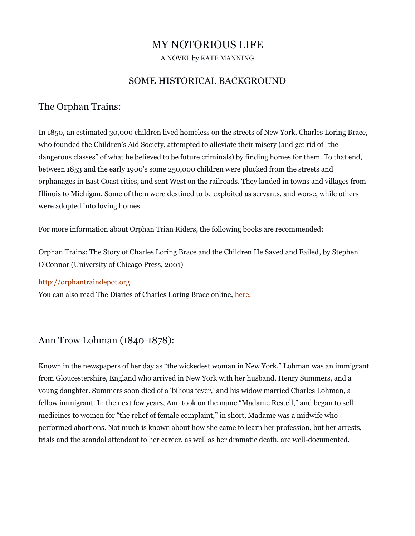## MY NOTORIOUS LIFE

A NOVEL by KATE MANNING

### SOME HISTORICAL BACKGROUND

#### The Orphan Trains:

In 1850, an estimated 30,000 children lived homeless on the streets of New York. Charles Loring Brace, who founded the Children's Aid Society, attempted to alleviate their misery (and get rid of "the dangerous classes" of what he believed to be future criminals) by finding homes for them. To that end, between 1853 and the early 1900's some 250,000 children were plucked from the streets and orphanages in East Coast cities, and sent West on the railroads. They landed in towns and villages from Illinois to Michigan. Some of them were destined to be exploited as servants, and worse, while others were adopted into loving homes.

For more information about Orphan Trian Riders, the following books are recommended:

Orphan Trains: The Story of Charles Loring Brace and the Children He Saved and Failed, by Stephen O'Connor (University of Chicago Press, 2001)

[http://orphantraindepot.org](http://orphantraindepot.org/)

You can also read The Diaries of Charles Loring Brace online, [here.](http://books.google.com/books?id=5kFUAKY1wDkC&printsec=frontcover&dq=the+diaries+of+charles+loring+brace&hl=en&sa=X&ei=iQ0uUdSKL8ny0QGq-ICwBQ&ved=0CDAQ6AEwAA#v=onepage&q=the%20diaries%20of%20charles%20loring%20brace&f=false)

#### Ann Trow Lohman (1840-1878):

Known in the newspapers of her day as "the wickedest woman in New York," Lohman was an immigrant from Gloucestershire, England who arrived in New York with her husband, Henry Summers, and a young daughter. Summers soon died of a 'bilious fever,' and his widow married Charles Lohman, a fellow immigrant. In the next few years, Ann took on the name "Madame Restell," and began to sell medicines to women for "the relief of female complaint," in short, Madame was a midwife who performed abortions. Not much is known about how she came to learn her profession, but her arrests, trials and the scandal attendant to her career, as well as her dramatic death, are well-documented.